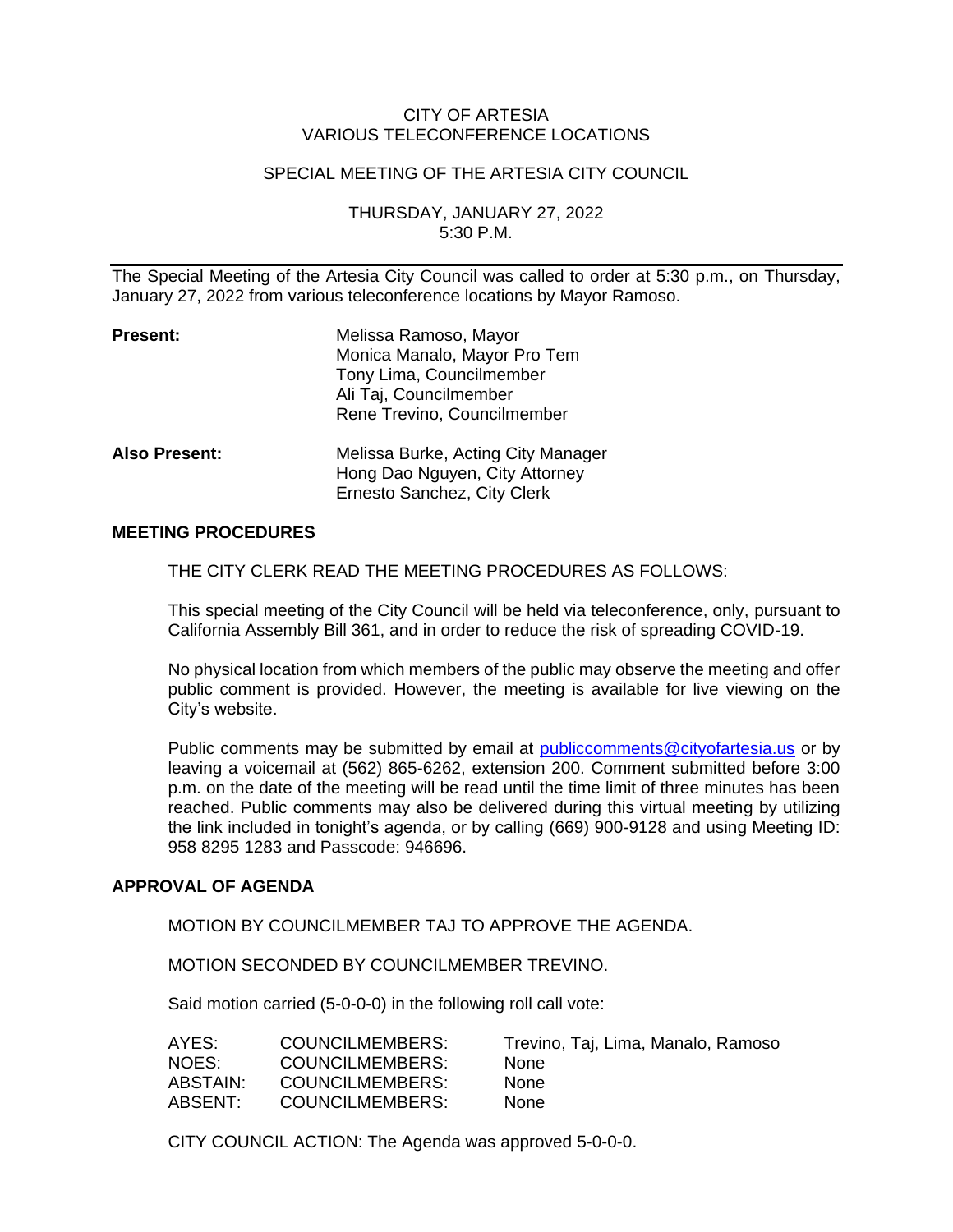## CITY OF ARTESIA VARIOUS TELECONFERENCE LOCATIONS

# SPECIAL MEETING OF THE ARTESIA CITY COUNCIL

THURSDAY, JANUARY 27, 2022 5:30 P.M.

The Special Meeting of the Artesia City Council was called to order at 5:30 p.m., on Thursday, January 27, 2022 from various teleconference locations by Mayor Ramoso.

| <b>Present:</b>      | Melissa Ramoso, Mayor<br>Monica Manalo, Mayor Pro Tem<br>Tony Lima, Councilmember<br>Ali Taj, Councilmember<br>Rene Trevino, Councilmember |
|----------------------|--------------------------------------------------------------------------------------------------------------------------------------------|
| <b>Also Present:</b> | Melissa Burke, Acting City Manager<br>Hong Dao Nguyen, City Attorney<br>Ernesto Sanchez, City Clerk                                        |

### **MEETING PROCEDURES**

THE CITY CLERK READ THE MEETING PROCEDURES AS FOLLOWS:

This special meeting of the City Council will be held via teleconference, only, pursuant to California Assembly Bill 361, and in order to reduce the risk of spreading COVID-19.

No physical location from which members of the public may observe the meeting and offer public comment is provided. However, the meeting is available for live viewing on the City's website.

Public comments may be submitted by email at [publiccomments@cityofartesia.us](mailto:publiccomments@cityofartesia.us) or by leaving a voicemail at (562) 865-6262, extension 200. Comment submitted before 3:00 p.m. on the date of the meeting will be read until the time limit of three minutes has been reached. Public comments may also be delivered during this virtual meeting by utilizing the link included in tonight's agenda, or by calling (669) 900-9128 and using Meeting ID: 958 8295 1283 and Passcode: 946696.

#### **APPROVAL OF AGENDA**

MOTION BY COUNCILMEMBER TAJ TO APPROVE THE AGENDA.

MOTION SECONDED BY COUNCILMEMBER TREVINO.

Said motion carried (5-0-0-0) in the following roll call vote:

| AYES:    | COUNCILMEMBERS: | Trevino, Taj, Lima, Manalo, Ramoso |
|----------|-----------------|------------------------------------|
| NOES:    | COUNCILMEMBERS: | <b>None</b>                        |
| ABSTAIN: | COUNCILMEMBERS: | <b>None</b>                        |
| ABSENT:  | COUNCILMEMBERS: | <b>None</b>                        |
|          |                 |                                    |

CITY COUNCIL ACTION: The Agenda was approved 5-0-0-0.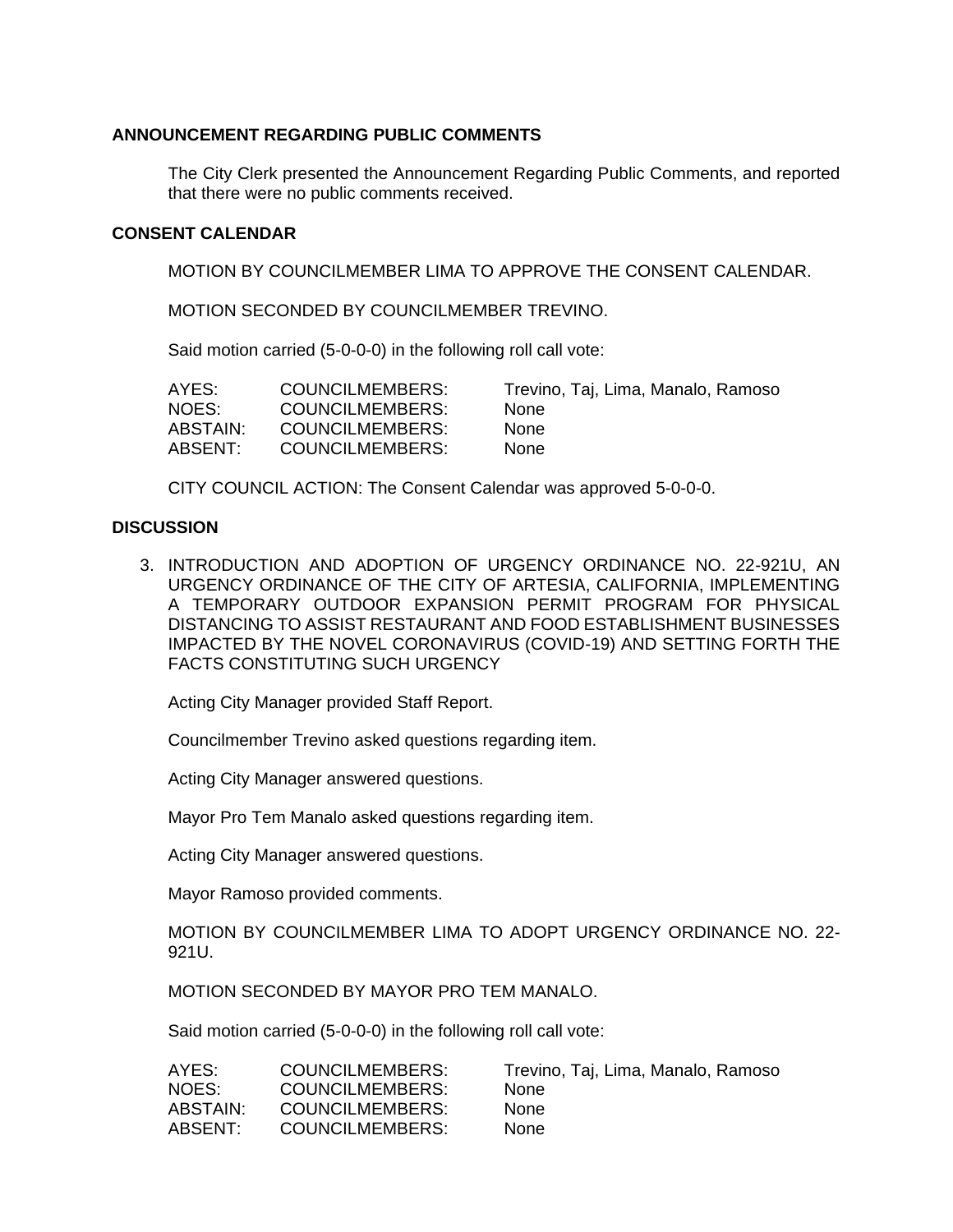## **ANNOUNCEMENT REGARDING PUBLIC COMMENTS**

The City Clerk presented the Announcement Regarding Public Comments, and reported that there were no public comments received.

#### **CONSENT CALENDAR**

MOTION BY COUNCILMEMBER LIMA TO APPROVE THE CONSENT CALENDAR.

MOTION SECONDED BY COUNCILMEMBER TREVINO.

Said motion carried (5-0-0-0) in the following roll call vote:

| AYES:    | COUNCILMEMBERS:        | Trevino, Taj, Lima, Manalo, Ramoso |
|----------|------------------------|------------------------------------|
| NOES:    | COUNCILMEMBERS:        | <b>None</b>                        |
| ABSTAIN: | COUNCILMEMBERS:        | <b>None</b>                        |
| ABSENT:  | <b>COUNCILMEMBERS:</b> | <b>None</b>                        |

CITY COUNCIL ACTION: The Consent Calendar was approved 5-0-0-0.

#### **DISCUSSION**

3. INTRODUCTION AND ADOPTION OF URGENCY ORDINANCE NO. 22-921U, AN URGENCY ORDINANCE OF THE CITY OF ARTESIA, CALIFORNIA, IMPLEMENTING A TEMPORARY OUTDOOR EXPANSION PERMIT PROGRAM FOR PHYSICAL DISTANCING TO ASSIST RESTAURANT AND FOOD ESTABLISHMENT BUSINESSES IMPACTED BY THE NOVEL CORONAVIRUS (COVID-19) AND SETTING FORTH THE FACTS CONSTITUTING SUCH URGENCY

Acting City Manager provided Staff Report.

Councilmember Trevino asked questions regarding item.

Acting City Manager answered questions.

Mayor Pro Tem Manalo asked questions regarding item.

Acting City Manager answered questions.

Mayor Ramoso provided comments.

MOTION BY COUNCILMEMBER LIMA TO ADOPT URGENCY ORDINANCE NO. 22- 921U.

MOTION SECONDED BY MAYOR PRO TEM MANALO.

Said motion carried (5-0-0-0) in the following roll call vote:

| AYES:    | COUNCILMEMBERS:        | Trevino, Taj, Lima, Manalo, Ramoso |
|----------|------------------------|------------------------------------|
| NOES:    | COUNCILMEMBERS:        | <b>None</b>                        |
| ABSTAIN: | COUNCILMEMBERS:        | <b>None</b>                        |
| ABSENT:  | <b>COUNCILMEMBERS:</b> | <b>None</b>                        |